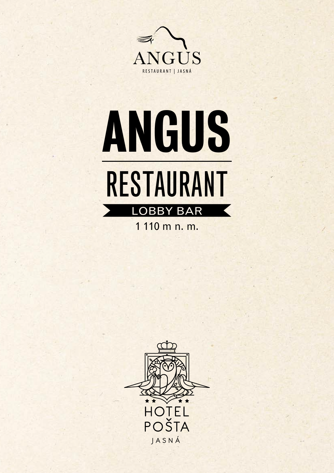



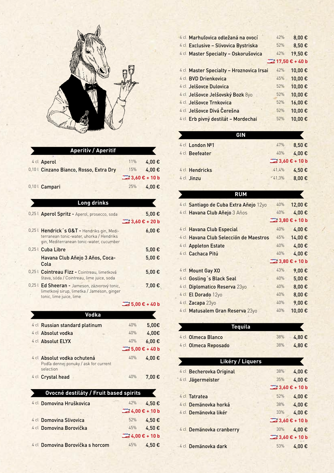

| <b>Aperitiv / Aperitif</b>              |                                    |       |
|-----------------------------------------|------------------------------------|-------|
| 4 cl Aperol                             | 11%                                | 4.00€ |
| 0,10 L Cinzano Bianco, Rosso, Extra Dry | 15%                                | 4.00€ |
|                                         | $\frac{10000550}{2}$ 3,60 € + 10 b |       |
| 0,10 L Campari                          | 25%                                | 4,00€ |

| <b>Long drinks</b>                                                                                                                  |     |                             |
|-------------------------------------------------------------------------------------------------------------------------------------|-----|-----------------------------|
|                                                                                                                                     |     |                             |
| 0,25   Aperol Spritz - Aperol, prosecco, soda                                                                                       |     | 5,00€                       |
|                                                                                                                                     |     |                             |
| 0,25 L Hendrick's G&T - Hendriks gin, Medi-<br>terranean tonic-water, uhorka / Hendriks<br>gin, Mediterranean tonic-water, cucumber |     | 6,00€                       |
| 0,25 L Cuba Libre                                                                                                                   |     | 5,00€                       |
| Havana Club Añejo 3 Años, Coca-<br>Cola                                                                                             |     | 5,00€                       |
| 0,25 l Cointreau Fizz - Cointreau, limetková<br>štava, sóda / Cointreau, lime juice, soda                                           |     | 5,00€                       |
| 0,25 l Ed Sheeran - Jameson, zázvorový tonic,<br>limetkový sirup, limetka / Jameson, ginger<br>tonic, lime juice, lime              |     | 7,00€                       |
|                                                                                                                                     |     | $\frac{1}{2}$ 5,00 € + 40 b |
| <b>Vodka</b>                                                                                                                        |     |                             |
| 4 cl Russian standard platinum                                                                                                      | 40% | 5,00€                       |
| 4 cl Absolut vodka                                                                                                                  | 40% | 4,00€                       |
| 4 cl Absolut ELYX                                                                                                                   | 40% | $6,00 \in$                  |
|                                                                                                                                     |     |                             |
| 4 cl Absolut vodka ochutená<br>Podľa dennej ponuky / ask for current<br>selection                                                   | 40% | 4,00€                       |
| 4 cl Crystal head                                                                                                                   | 40% | 7,00€                       |

| Ovocné destiláty / Fruit based spirits |                                                           |            |
|----------------------------------------|-----------------------------------------------------------|------------|
| 4 cl Domovina Hruškovica               | 42%                                                       | 4,50€      |
|                                        | <sup>copass</sup> 4,00 € + 10 b                           |            |
| 4 cl Domovina Slivovica                | 52%                                                       | 4,50€      |
| 4 cl Domovina Borovička                |                                                           | 45% 4,50 € |
|                                        | $\left  \frac{\cos x}{\cos x} 4,00 \right  \infty$ + 10 b |            |
| 4 cl Domovina Borovička s horcom       | 45%                                                       | 4,50€      |

| 4 cl Marhuľovica odležaná na ovocí       | 42% | 8,00€               |
|------------------------------------------|-----|---------------------|
| 4 cl Exclusive - Slivovica Bystriska     | 52% | 8,50€               |
| 4 cl Master Specialty - Oskorušovica     | 42% | 19,50€              |
|                                          |     | $22$ 17,50 € + 40 b |
| 4 cl Master Specialty - Hroznovica Irsai | 42% | 10,00€              |
| 4 cl BVD Drienkovica                     | 45% | 10,00€              |
| 4 cl Jelšovce Dulovica                   | 52% | 10,00€              |
| 4 cl Jelšovce Jelšovský Bozk 8yo         | 52% | 10,00€              |
| 4 cl Jelšovce Trnkovica                  | 52% | 16,00€              |
| 4 cl Jelšovce Divá Čerešna               | 52% | 10,00€              |
| 4 cl Erb pivný destilát - Mordechai      | 52% | 10,00€              |
|                                          |     |                     |

|                 | GIN |                                       |       |
|-----------------|-----|---------------------------------------|-------|
| 4 cl London Nº1 |     | 47%                                   | 8,50€ |
| 4 cl Beefeater  |     | 40%                                   | 4,00€ |
|                 |     | $3,60 \text{ } \infty + 10 \text{ b}$ |       |
| 4 cl Hendricks  |     | 41,4%                                 | 4,50€ |
| 4 cl Jinzu      |     | 41,3%                                 | 8,00€ |
|                 |     |                                       |       |

| <b>RUM</b>                             |     |                                    |
|----------------------------------------|-----|------------------------------------|
| 4 cl Santiago de Cuba Extra Añejo 12yo | 40% | 12,00€                             |
| 4 cl Havana Club Añejo 3 Años          | 40% | 4,00€                              |
|                                        |     | $3,80 \text{ } \in + 10 \text{ b}$ |
| 4 cl Havana Club Especial              | 40% | 4,00€                              |
| 4 cl Havana Club Selección de Maestros | 45% | 14,00€                             |
| 4 cl Appleton Estate                   | 40% | 4,00€                              |
| 4 cl Cachaca Pitú                      | 40% | 4,00€                              |
|                                        |     | $3,80 \text{ } \in + 10 \text{ b}$ |
| 4 cl Mount Gay XO                      | 43% | 9,00 $\epsilon$                    |
| 4 cl Gosling's Black Seal              | 40% | $5,00 \in$                         |
| 4 cl Diplomatico Reserva 23yo          | 40% | $8,00 \in$                         |
| 4 cl El Dorado 12yo                    | 40% | 0.8                                |
| 4 cl Zacapa 23yo                       | 40% | 9,00 $\epsilon$                    |
| 4 cl Matusalem Gran Reserva 23yo       | 40% | 10,00€                             |

| <b>Tequila</b>           |                             |       |
|--------------------------|-----------------------------|-------|
| 4 cl Olmeca Blanco       | 38%                         | 4.80€ |
| 4 cl Olmeca Reposado     | 38%                         | 4,80€ |
|                          |                             |       |
| Likéry / Liquers         |                             |       |
| 4 cl Becherovka Original | 38%                         | 4,00€ |
| 4 cl Jägermeister        | 35%                         | 4,00€ |
|                          | $\rightarrow$ 3,60 € + 10 b |       |
| 4 cl Tatratea            | 52%                         | 4,00€ |
| 4 cl Demänovka horká     | 38%                         | 4,00€ |
| 4 cl Demänovka likér     | 33%                         | 4.00€ |

|                          | $3,60 \text{ } \epsilon$ + 10 b    |
|--------------------------|------------------------------------|
| 4 cl Demänovka cranberry | 30% 4.00 €                         |
|                          | $3,60 \text{ } \in + 10 \text{ b}$ |
| 4 cl Demänovka dark      | 53%<br>4.00€                       |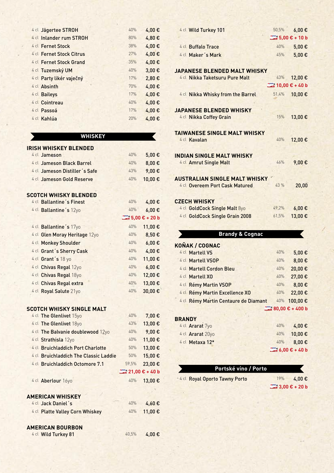| 4 cl Jägertee STROH      | 40% | 4,00€ |
|--------------------------|-----|-------|
| 4 cl Inlander rum STROH  | 80% | 4,80€ |
| 4 cl Fernet Stock        | 38% | 4,00€ |
| 4 cl Fernet Stock Citrus | 27% | 4,00€ |
| 4 cl Fernet Stock Grand  | 35% | 4,00€ |
| 4 cl Tuzemský UM         | 40% | 3,00€ |
| 4 cl Party likér vaječný | 17% | 2,80€ |
| 4 cl Absinth             | 70% | 4,00€ |
| 4 cl Baileys             | 17% | 4,00€ |
| 4 cl Cointreau           | 40% | 4,00€ |
| 4 cl Passoá              | 17% | 4,00€ |
| 4 cl Kahlúa              | 20% | 4,00€ |

## **WHISKEY**

 $\blacksquare$ 

| IRISH WHISKEY BLENDED                 |                             |                             |
|---------------------------------------|-----------------------------|-----------------------------|
| 4 cl Jameson                          | 40%                         | 5,00€                       |
| 4 cl Jameson Black Barrel             | 40%                         | 8,00€                       |
| 4 cl Jameson Distiller's Safe         | 43%                         | 9,00€                       |
| 4 cl Jameson Gold Reserve             | 40%                         | 10,00€                      |
|                                       |                             |                             |
| <b>SCOTCH WHISKY BLENDED</b>          |                             |                             |
| 4 cl Ballantine's Finest              | 40%                         | 4,00€                       |
| 4 cl Ballantine's 12yo                | 40%                         | $6,00 \in$                  |
|                                       |                             | $\frac{1}{2}$ 5,00 € + 20 b |
| 4 cl Ballantine's 17yo                | 40%                         | 11,00€                      |
| 4 cl Glen Moray Heritage 12yo         | 40%                         | 8,50€                       |
| 4 cl Monkey Shoulder                  | 40%                         | $6,00 \in$                  |
| 4 cl Grant's Sherry Cask              | 40%                         | 4,00€                       |
| 4 cl Grant's 18 yo                    | 40%                         | 11,00€                      |
| 4 cl Chivas Regal 12yo                | 40%                         | $6,00 \in$                  |
| 4 cl Chivas Regal 18yo                | 40%                         | 12,00€                      |
| 4 cl Chivas Regal extra               | 40%                         | 13,00€                      |
| 4 cl Royal Salute 21yo                | 40%                         | 30,00€                      |
|                                       |                             |                             |
| SCOTCH WHISKY SINGLE MALT             |                             |                             |
| 4 cl The Glenlivet 15yo               | 40%                         | 7,00€                       |
| 4 cl The Glenlivet 18yo               | 43%                         | 13,00€                      |
| 4 cl The Balvanie doublewood 12yo     | 40%                         | 9,00€                       |
| 4 cl Strathisla 12yo                  | 40%                         | 11,00€                      |
| 4 cl Bruichladdich Port Charlotte     | 50%                         | 13,00€                      |
| 4 cl Bruichladdich The Classic Laddie | 50%                         | 15,00€                      |
| 4 cl Bruichladdich Octomore 7.1       | 59,5%                       | 23,00€                      |
|                                       | $21,00 \t\t\epsilon + 40 b$ |                             |
| 4 cl Aberlour 16yo                    | 40%                         | 13,00€                      |
|                                       |                             |                             |
| <b>AMERICAN WHISKEY</b>               |                             |                             |
| 4 cl Jack Daniel's                    | 40%                         | 4,60€                       |
| 4 cl Platte Valley Corn Whiskey       | 40%                         | 11,00€                      |
|                                       |                             |                             |
| <b>AMERICAN BOURBON</b>               |                             |                             |
| 4 cl Wild Turkey 81                   | 40,5%                       | 4,00€                       |

| 4 cl Wild Turkey 101                 | 50,5% | $6,00 \in$                      |
|--------------------------------------|-------|---------------------------------|
|                                      |       | $3.00 \text{ } \epsilon$ + 10 b |
| 4 cl Buffalo Trace                   | 40%   | 5,00€                           |
| 4 cl Maker's Mark                    | 45%   | 5,00€                           |
|                                      |       |                                 |
| <b>JAPANESE BLENDED MALT WHISKY</b>  |       |                                 |
| 4 cl Nikka Taketsuru Pure Malt       | 43%   | 12,00€                          |
|                                      |       |                                 |
| 4 cl Nikka Whisky from the Barrel    | 51,4% | 10,00€                          |
| <b>JAPANESE BLENDED WHISKY</b>       |       |                                 |
| 4 cl Nikka Coffey Grain              | 15%   | 13,00€                          |
|                                      |       |                                 |
| <b>TAIWANESE SINGLE MALT WHISKY</b>  |       |                                 |
| 4 cl Kavalan                         | 40%   | 12,00€                          |
|                                      |       |                                 |
| <b>INDIAN SINGLE MALT WHISKY</b>     |       |                                 |
| 4 cl Amrut Single Malt               | 46%   | 9,00€                           |
| <b>AUSTRALIAN SINGLE MALT WHISKY</b> |       |                                 |
| 4 cl Overeem Port Cask Matured       | 43 %  | 20,00                           |
|                                      |       |                                 |
| <b>CZECH WHISKY</b>                  |       |                                 |
| 4 cl GoldCock Single Malt 8yo        | 49,2% | 6,00€                           |
| 4 cl GoldCock Single Grain 2008      | 61,5% | 13,00€                          |
|                                      |       |                                 |
| <b>Brandy &amp; Cognac</b>           |       |                                 |
| <b>KOŇAK / COGNAC</b>                |       |                                 |
| 4 cl Martell VS                      | 40%   | 5,00€                           |
| 4 cl Martell VSOP                    | 40%   | 8,00€                           |
| 4 cl Martell Cordon Bleu             | 40%   | 20,00€                          |
| 4 cl Martell XO                      | 40%   | 27,00€                          |
| 4 cl Rémy Martin VSOP                | 40%   | 8,00€                           |
| 4 cl Rémy Martin Excellence XO       | 40%   | 22,00€                          |
| 4 cl Rémy Martin Centaure de Diamant | 40%   | 100,00€                         |
|                                      |       | 80,00 € + 400 b                 |
| <b>BRANDY</b>                        |       |                                 |
| 4 cl Ararat 7yo                      | 40%   | 4,00€                           |
| 4 cl Ararat 20yo                     | 40%   | 10,00€                          |
| 4 cl Metaxa 12*                      | 40%   | 8,00€                           |

## **Portské víno / Porto**

 $4$  cl Royal Oporto Tawny Porto 19% 4,00 €

 **3,00 € + 20 b** 

K

*C*  $\leftarrow$  6,00 € + 40 **b**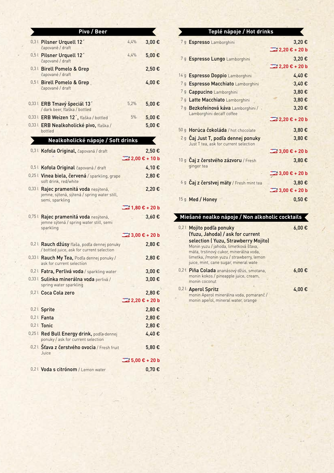| Pivo / Beer                                                                                             |                                    |            |
|---------------------------------------------------------------------------------------------------------|------------------------------------|------------|
| 0,3   Pilsner Urquell 12'<br>čapované / draft                                                           | 4.4%                               | 3,00€      |
| 0,5   Pilsner Urquell 12'                                                                               | 4,4%                               | 5,00€      |
| čapované / draft<br>0,31 Birell Pomelo & Grep                                                           |                                    | 2,50€      |
| čapované / draft<br>0,5   Birell Pomelo & Grep                                                          |                                    | 4,00€      |
| čapované / draft                                                                                        |                                    |            |
| 0,33 L ERB Tmavý špeciál 13'<br>/ dark beer, fľaška / bottled                                           | 5,2%                               | 5,00€      |
| 0,33 L ERB Weizen 12', fľaška / bottled                                                                 | 5%                                 | $5,00 \in$ |
| 0,33 L ERB Nealkoholické pivo, fľaška /<br>bottled                                                      |                                    | 5,00€      |
| Nealkoholické nápoje / Soft drinks                                                                      |                                    |            |
| 0,3 L Kofola Original, čapovaná / draft                                                                 |                                    | 2,50€      |
|                                                                                                         | $2,00 \in + 10$ b                  |            |
| 0,5   Kofola Original čapovaná / draft                                                                  |                                    | 4,10€      |
| 0,25 l Vinea biela, červená / sparkling, grape<br>soft drink, red/white                                 |                                    | 2,80€      |
| 0,33 l Rajec pramenitá voda nesýtená,<br>jemne, sýtená, sýtená / spring water still,<br>semi, sparkling |                                    | 2,20€      |
|                                                                                                         |                                    |            |
|                                                                                                         |                                    |            |
| 0,75   Rajec pramenitá voda nesýtená,<br>jemne sýtená / spring water still, semi<br>sparkling           |                                    | 3,60€      |
|                                                                                                         | $3,00 \text{ } \in +20 \text{ } b$ |            |
| 0,2 l Rauch džúsy fľaša, podľa dennej ponuky<br>/ bottled juice, ask for current selection              |                                    | 2,80€      |
| 0,33 l Rauch My Tea, Podľa dennej ponuky /<br>ask for current selection                                 |                                    | 2,80€      |
| 0,2 L Fatra, Perlivá voda / sparkling water                                                             |                                    | $3,00 \in$ |
| 0,33   Sulinka minerálna voda perlivá /<br>spring water sparkling                                       |                                    | 3,00€      |
| 0,21 Coca Cola zero                                                                                     |                                    | 2,80€      |
|                                                                                                         | $2,20 \in +20$ b                   |            |
| 0,2   Sprite                                                                                            |                                    | 2,80€      |
| $0,2$ Fanta                                                                                             |                                    | 2,80€      |
| 0,2   Tonic                                                                                             |                                    | 2,80€      |
| 0,25 l Red Bull Energy drink, podľa dennej<br>ponuky / ask for current selection                        |                                    | 4,40€      |
| 0,2 L Šťava z čerstvého ovocia / Fresh fruit<br>Juice                                                   |                                    | 5,80€      |
|                                                                                                         |                                    |            |

| Teplé nápoje / Hot drinks                                        |                                               |
|------------------------------------------------------------------|-----------------------------------------------|
| 7 g Espresso Lamborghini                                         | 3,20€                                         |
|                                                                  |                                               |
| 7g Espresso Lungo Lamborghini                                    | 3,20€                                         |
|                                                                  |                                               |
| 14 g Espresso Doppio Lamborghini                                 | 4,40€                                         |
| 7g Espresso Macchiato Lamborghini                                | 3,40€                                         |
| 7 g Cappucino Lamborghini                                        | 3,80€                                         |
| 7g Latte Macchiato Lamborghini                                   | 3,80€                                         |
| 7 g Bezkofeínová káva Lamborghini /<br>Lamborghini decaff coffee | 3,20€                                         |
|                                                                  | $\frac{1}{2}$ 2,20 € + 20 b                   |
| 50 g Horúca čokoláda / hot chocolate                             | 3,80€                                         |
| 2 <sub>9</sub> Čaj Just T, podľa dennej ponuky                   | 3,80€                                         |
| Just T tea, ask for current selection                            |                                               |
|                                                                  | $3,00 \text{ } \in 20 \text{ } \text{b}$      |
| 10 g Čaj z čerstvého zázvoru / Fresh<br>ginger tea               | 3,80€                                         |
|                                                                  | $3,00 \text{ } \in +20 \text{ } \text{b}$     |
| 6g Čaj z čerstvej mäty / Fresh mint tea                          | 3,80€                                         |
|                                                                  | $3,00 \text{ } \infty + 20 \text{ } \text{b}$ |
| 15g Med / Honey                                                  | $0,50 \in$                                    |
|                                                                  |                                               |
|                                                                  |                                               |

## **Miešané nealko nápoje / Non alkoholic cocktails**

| 0,2   Mojito podľa ponuky                                                          | 6.00€      |
|------------------------------------------------------------------------------------|------------|
| (Yuzu, Jahoda) / ask for current                                                   |            |
| selection (Yuzu, Strawberry Mojito)                                                |            |
| Monin yuzu / jahoda, limetková šťava,                                              |            |
| mäta, trstinový cukor, minerálna voda,                                             |            |
| limetka, /monin yuzu / strawberry, lemon                                           |            |
| juice, mint, cane sugar, mineral wate                                              |            |
| 0,21 Piña Colada ananásový džús, smotana,<br>monin kokos / pineapple juice, cream, | $6,00 \in$ |
| monin coconut                                                                      |            |
| 0,21 Aperol Spritz                                                                 | 4,00€      |
| monin Aperol minerálna voda, pomaranč/                                             |            |
| monin aperol, mineral water, orange                                                |            |